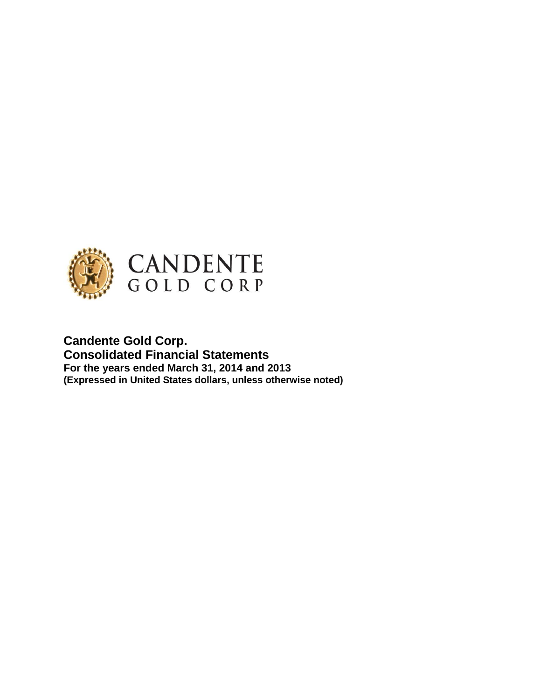

#### **Candente Gold Corp. Consolidated Financial Statements For the years ended March 31, 2014 and 2013 (Expressed in United States dollars, unless otherwise noted)**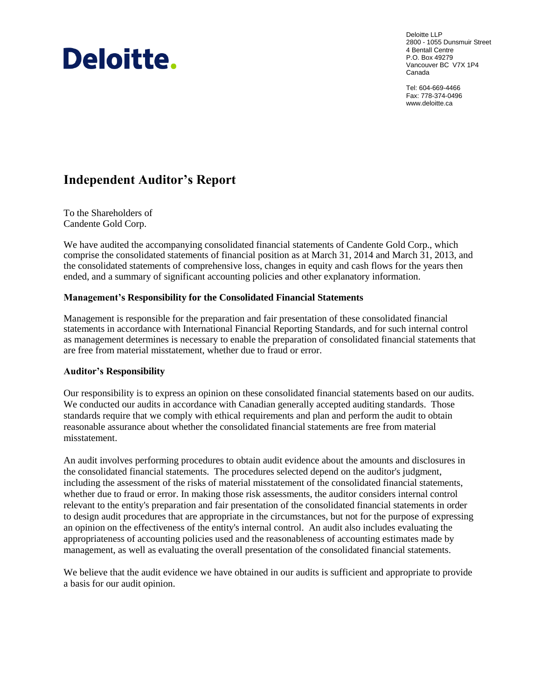# Deloitte.

Deloitte LLP 2800 - 1055 Dunsmuir Street 4 Bentall Centre P.O. Box 49279 Vancouver BC V7X 1P4 Canada

Tel: 604-669-4466 Fax: 778-374-0496 www.deloitte.ca

### **Independent Auditor's Report**

To the Shareholders of Candente Gold Corp.

We have audited the accompanying consolidated financial statements of Candente Gold Corp., which comprise the consolidated statements of financial position as at March 31, 2014 and March 31, 2013, and the consolidated statements of comprehensive loss, changes in equity and cash flows for the years then ended, and a summary of significant accounting policies and other explanatory information.

#### **Management's Responsibility for the Consolidated Financial Statements**

Management is responsible for the preparation and fair presentation of these consolidated financial statements in accordance with International Financial Reporting Standards, and for such internal control as management determines is necessary to enable the preparation of consolidated financial statements that are free from material misstatement, whether due to fraud or error.

#### **Auditor's Responsibility**

Our responsibility is to express an opinion on these consolidated financial statements based on our audits. We conducted our audits in accordance with Canadian generally accepted auditing standards. Those standards require that we comply with ethical requirements and plan and perform the audit to obtain reasonable assurance about whether the consolidated financial statements are free from material misstatement.

An audit involves performing procedures to obtain audit evidence about the amounts and disclosures in the consolidated financial statements. The procedures selected depend on the auditor's judgment, including the assessment of the risks of material misstatement of the consolidated financial statements, whether due to fraud or error. In making those risk assessments, the auditor considers internal control relevant to the entity's preparation and fair presentation of the consolidated financial statements in order to design audit procedures that are appropriate in the circumstances, but not for the purpose of expressing an opinion on the effectiveness of the entity's internal control. An audit also includes evaluating the appropriateness of accounting policies used and the reasonableness of accounting estimates made by management, as well as evaluating the overall presentation of the consolidated financial statements.

We believe that the audit evidence we have obtained in our audits is sufficient and appropriate to provide a basis for our audit opinion.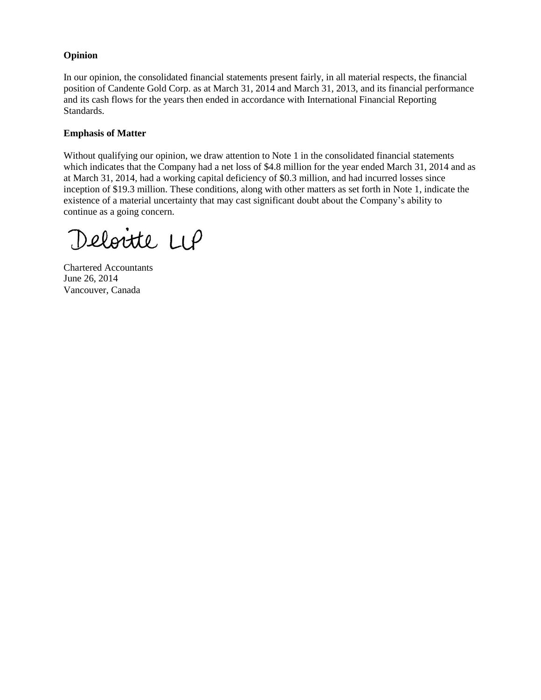#### **Opinion**

In our opinion, the consolidated financial statements present fairly, in all material respects, the financial position of Candente Gold Corp. as at March 31, 2014 and March 31, 2013, and its financial performance and its cash flows for the years then ended in accordance with International Financial Reporting Standards.

#### **Emphasis of Matter**

Without qualifying our opinion, we draw attention to Note 1 in the consolidated financial statements which indicates that the Company had a net loss of \$4.8 million for the year ended March 31, 2014 and as at March 31, 2014, had a working capital deficiency of \$0.3 million, and had incurred losses since inception of \$19.3 million. These conditions, along with other matters as set forth in Note 1, indicate the existence of a material uncertainty that may cast significant doubt about the Company's ability to continue as a going concern.

Deloitte LU

Chartered Accountants June 26, 2014 Vancouver, Canada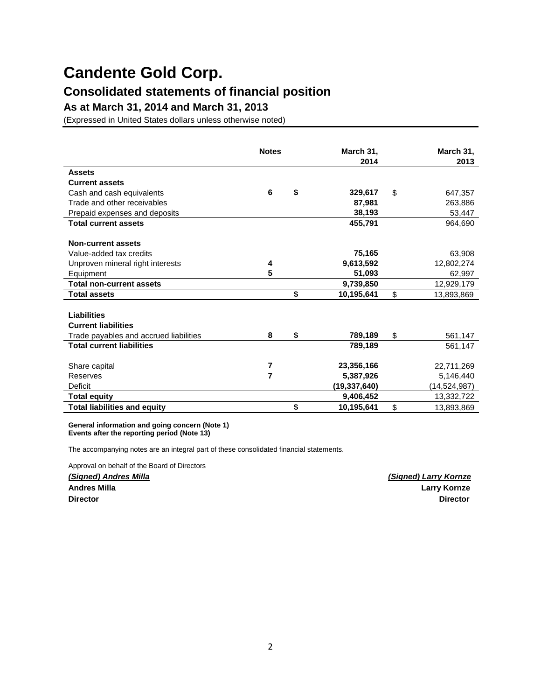### **Consolidated statements of financial position**

**As at March 31, 2014 and March 31, 2013**

(Expressed in United States dollars unless otherwise noted)

|                                        | <b>Notes</b> | March 31,<br>2014 | March 31,<br>2013 |
|----------------------------------------|--------------|-------------------|-------------------|
| <b>Assets</b>                          |              |                   |                   |
| <b>Current assets</b>                  |              |                   |                   |
| Cash and cash equivalents              | 6            | \$<br>329,617     | \$<br>647,357     |
| Trade and other receivables            |              | 87.981            | 263,886           |
| Prepaid expenses and deposits          |              | 38,193            | 53,447            |
| <b>Total current assets</b>            |              | 455,791           | 964,690           |
| <b>Non-current assets</b>              |              |                   |                   |
| Value-added tax credits                |              | 75,165            | 63,908            |
| Unproven mineral right interests       | 4            | 9,613,592         | 12,802,274        |
| Equipment                              | 5            | 51,093            | 62,997            |
| <b>Total non-current assets</b>        |              | 9,739,850         | 12,929,179        |
| <b>Total assets</b>                    |              | \$<br>10,195,641  | \$<br>13,893,869  |
|                                        |              |                   |                   |
| <b>Liabilities</b>                     |              |                   |                   |
| <b>Current liabilities</b>             |              |                   |                   |
| Trade payables and accrued liabilities | 8            | \$<br>789,189     | \$<br>561,147     |
| <b>Total current liabilities</b>       |              | 789,189           | 561,147           |
| Share capital                          | 7            | 23,356,166        | 22,711,269        |
| Reserves                               | 7            | 5,387,926         | 5,146,440         |
| <b>Deficit</b>                         |              | (19,337,640)      | (14, 524, 987)    |
| <b>Total equity</b>                    |              | 9,406,452         | 13,332,722        |
| <b>Total liabilities and equity</b>    |              | \$<br>10,195,641  | \$<br>13,893,869  |

**General information and going concern (Note 1) Events after the reporting period (Note 13)**

The accompanying notes are an integral part of these consolidated financial statements.

Approval on behalf of the Board of Directors

*(Signed) Andres Milla (Signed) Larry Kornze* **Andres Milla Larry Kornze Director Director**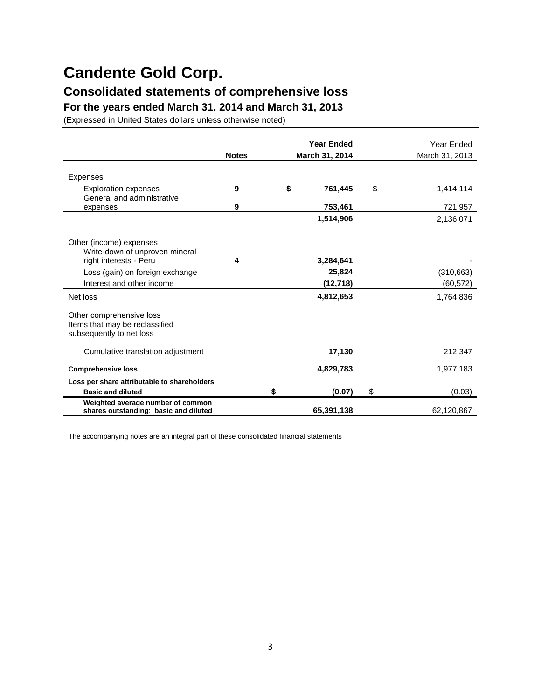### **Consolidated statements of comprehensive loss**

**For the years ended March 31, 2014 and March 31, 2013**

(Expressed in United States dollars unless otherwise noted)

|                                                                                        | <b>Notes</b> | <b>Year Ended</b><br>March 31, 2014 | Year Ended<br>March 31, 2013 |
|----------------------------------------------------------------------------------------|--------------|-------------------------------------|------------------------------|
| <b>Expenses</b>                                                                        |              |                                     |                              |
| <b>Exploration expenses</b><br>General and administrative                              | 9            | \$<br>761,445                       | \$<br>1,414,114              |
| expenses                                                                               | 9            | 753,461                             | 721,957                      |
|                                                                                        |              | 1,514,906                           | 2,136,071                    |
| Other (income) expenses<br>Write-down of unproven mineral<br>right interests - Peru    | 4            | 3,284,641                           |                              |
| Loss (gain) on foreign exchange                                                        |              | 25,824                              | (310, 663)                   |
| Interest and other income                                                              |              | (12, 718)                           | (60, 572)                    |
| Net loss                                                                               |              | 4,812,653                           | 1,764,836                    |
| Other comprehensive loss<br>Items that may be reclassified<br>subsequently to net loss |              |                                     |                              |
| Cumulative translation adjustment                                                      |              | 17,130                              | 212,347                      |
| <b>Comprehensive loss</b>                                                              |              | 4,829,783                           | 1,977,183                    |
| Loss per share attributable to shareholders<br><b>Basic and diluted</b>                |              | \$<br>(0.07)                        | \$<br>(0.03)                 |
| Weighted average number of common<br>shares outstanding: basic and diluted             |              | 65,391,138                          | 62,120,867                   |

The accompanying notes are an integral part of these consolidated financial statements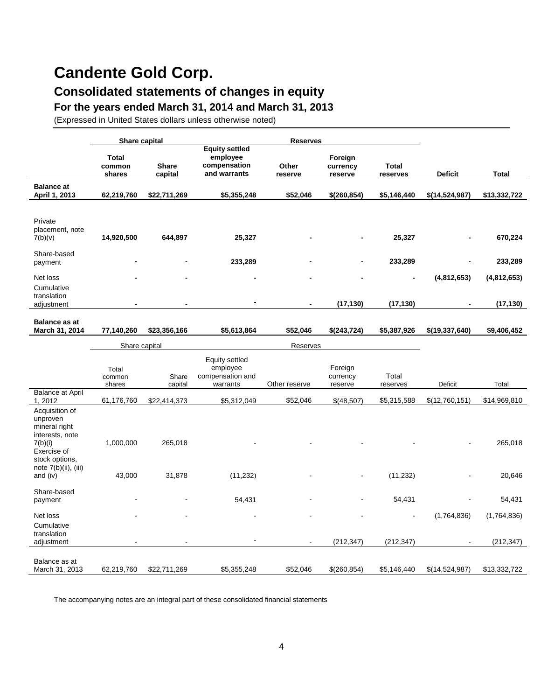### **Consolidated statements of changes in equity**

**For the years ended March 31, 2014 and March 31, 2013**

(Expressed in United States dollars unless otherwise noted)

|                                                                                                                                                   | Share capital                    |                         |                                                                   | <b>Reserves</b>  |                                |                   |                |                   |
|---------------------------------------------------------------------------------------------------------------------------------------------------|----------------------------------|-------------------------|-------------------------------------------------------------------|------------------|--------------------------------|-------------------|----------------|-------------------|
|                                                                                                                                                   | <b>Total</b><br>common<br>shares | <b>Share</b><br>capital | <b>Equity settled</b><br>employee<br>compensation<br>and warrants | Other<br>reserve | Foreign<br>currency<br>reserve | Total<br>reserves | <b>Deficit</b> | <b>Total</b>      |
| <b>Balance</b> at<br>April 1, 2013                                                                                                                | 62,219,760                       | \$22,711,269            | \$5,355,248                                                       | \$52,046         | \$(260, 854)                   | \$5,146,440       | \$(14,524,987) | \$13,332,722      |
| Private<br>placement, note<br>7(b)(v)                                                                                                             | 14,920,500                       | 644,897                 | 25,327                                                            |                  |                                | 25,327            |                | 670,224           |
| Share-based<br>payment                                                                                                                            |                                  |                         | 233,289                                                           |                  |                                | 233,289           |                | 233,289           |
| Net loss<br>Cumulative                                                                                                                            |                                  |                         |                                                                   |                  |                                |                   | (4,812,653)    | (4,812,653)       |
| translation<br>adjustment                                                                                                                         |                                  |                         |                                                                   |                  | (17, 130)                      | (17, 130)         |                | (17, 130)         |
| <b>Balance as at</b><br>March 31, 2014                                                                                                            | 77,140,260                       | \$23,356,166            | \$5,613,864                                                       | \$52,046         | \$(243,724)                    | \$5,387,926       | \$(19,337,640) | \$9,406,452       |
|                                                                                                                                                   | Share capital                    |                         |                                                                   | Reserves         |                                |                   |                |                   |
|                                                                                                                                                   | Total<br>common<br>shares        | Share<br>capital        | Equity settled<br>employee<br>compensation and<br>warrants        | Other reserve    | Foreign<br>currency<br>reserve | Total<br>reserves | Deficit        | Total             |
| <b>Balance at April</b><br>1, 2012                                                                                                                | 61,176,760                       | \$22,414,373            | \$5,312,049                                                       | \$52,046         | \$(48,507)                     | \$5,315,588       | \$(12,760,151) | \$14,969,810      |
| Acquisition of<br>unproven<br>mineral right<br>interests, note<br>7(b)(i)<br>Exercise of<br>stock options,<br>note $7(b)(ii)$ , (iii)<br>and (iv) | 1,000,000<br>43,000              | 265,018<br>31,878       | (11, 232)                                                         |                  |                                | (11, 232)         |                | 265,018<br>20,646 |
| Share-based                                                                                                                                       |                                  |                         |                                                                   |                  |                                |                   |                |                   |
| payment                                                                                                                                           |                                  |                         | 54,431                                                            |                  |                                | 54,431            |                | 54,431            |
| Net loss<br>Cumulative                                                                                                                            |                                  |                         |                                                                   |                  |                                |                   | (1,764,836)    | (1,764,836)       |
| translation<br>adjustment                                                                                                                         |                                  |                         |                                                                   |                  | (212, 347)                     | (212, 347)        |                | (212, 347)        |
| Balance as at<br>March 31, 2013                                                                                                                   | 62,219,760                       | \$22,711,269            | \$5,355,248                                                       | \$52,046         | \$(260, 854)                   | \$5,146,440       | \$(14,524,987) | \$13,332,722      |

The accompanying notes are an integral part of these consolidated financial statements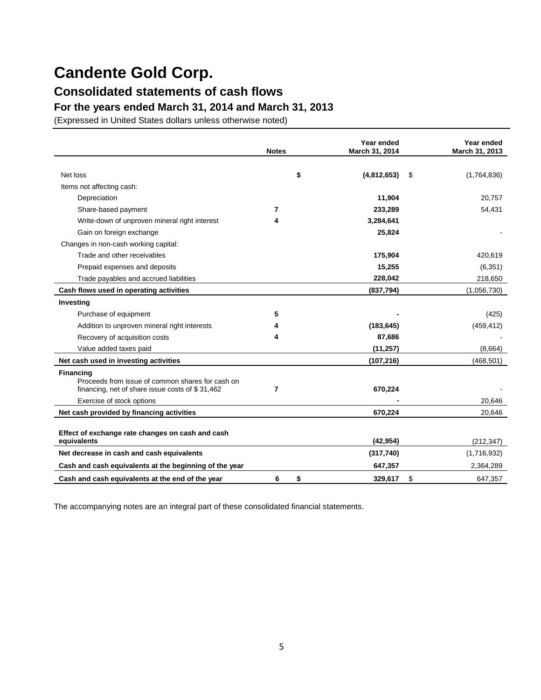### **Consolidated statements of cash flows**

**For the years ended March 31, 2014 and March 31, 2013**

(Expressed in United States dollars unless otherwise noted)

|                                                                                                     | <b>Notes</b> | Year ended<br>March 31, 2014 | Year ended<br>March 31, 2013 |
|-----------------------------------------------------------------------------------------------------|--------------|------------------------------|------------------------------|
|                                                                                                     |              |                              |                              |
| Net loss                                                                                            | \$           | (4,812,653)                  | S<br>(1,764,836)             |
| Items not affecting cash:                                                                           |              |                              |                              |
| Depreciation                                                                                        |              | 11,904                       | 20,757                       |
| Share-based payment                                                                                 | 7            | 233,289                      | 54,431                       |
| Write-down of unproven mineral right interest                                                       | 4            | 3,284,641                    |                              |
| Gain on foreign exchange                                                                            |              | 25,824                       |                              |
| Changes in non-cash working capital:                                                                |              |                              |                              |
| Trade and other receivables                                                                         |              | 175,904                      | 420,619                      |
| Prepaid expenses and deposits                                                                       |              | 15,255                       | (6, 351)                     |
| Trade payables and accrued liabilities                                                              |              | 228,042                      | 218,650                      |
| Cash flows used in operating activities                                                             |              | (837, 794)                   | (1,056,730)                  |
| Investing                                                                                           |              |                              |                              |
| Purchase of equipment                                                                               | 5            |                              | (425)                        |
| Addition to unproven mineral right interests                                                        |              | (183, 645)                   | (459, 412)                   |
| Recovery of acquisition costs                                                                       | 4            | 87,686                       |                              |
| Value added taxes paid                                                                              |              | (11, 257)                    | (8,664)                      |
| Net cash used in investing activities                                                               |              | (107, 216)                   | (468, 501)                   |
| <b>Financing</b>                                                                                    |              |                              |                              |
| Proceeds from issue of common shares for cash on<br>financing, net of share issue costs of \$31,462 | 7            | 670,224                      |                              |
| Exercise of stock options                                                                           |              |                              | 20,646                       |
|                                                                                                     |              |                              |                              |
| Net cash provided by financing activities                                                           |              | 670,224                      | 20,646                       |
| Effect of exchange rate changes on cash and cash                                                    |              |                              |                              |
| equivalents                                                                                         |              | (42, 954)                    | (212, 347)                   |
| Net decrease in cash and cash equivalents                                                           |              | (317,740)                    | (1,716,932)                  |
| Cash and cash equivalents at the beginning of the year                                              |              | 647,357                      | 2,364,289                    |
| Cash and cash equivalents at the end of the year                                                    | \$<br>6      | 329,617                      | \$<br>647,357                |

The accompanying notes are an integral part of these consolidated financial statements.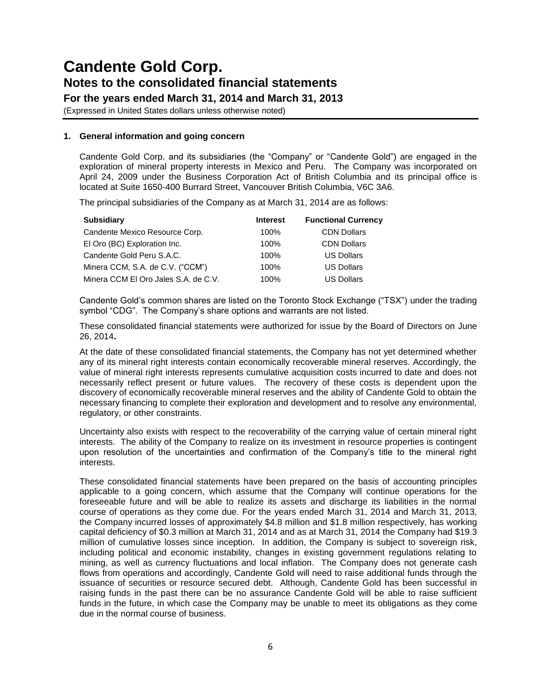**For the years ended March 31, 2014 and March 31, 2013**

(Expressed in United States dollars unless otherwise noted)

#### **1. General information and going concern**

Candente Gold Corp. and its subsidiaries (the "Company" or "Candente Gold") are engaged in the exploration of mineral property interests in Mexico and Peru. The Company was incorporated on April 24, 2009 under the Business Corporation Act of British Columbia and its principal office is located at Suite 1650-400 Burrard Street, Vancouver British Columbia, V6C 3A6.

The principal subsidiaries of the Company as at March 31, 2014 are as follows:

| <b>Subsidiary</b>                    | <b>Interest</b> | <b>Functional Currency</b> |
|--------------------------------------|-----------------|----------------------------|
| Candente Mexico Resource Corp.       | 100%            | <b>CDN Dollars</b>         |
| El Oro (BC) Exploration Inc.         | 100%            | <b>CDN Dollars</b>         |
| Candente Gold Peru S.A.C.            | 100%            | <b>US Dollars</b>          |
| Minera CCM, S.A. de C.V. ("CCM")     | 100%            | <b>US Dollars</b>          |
| Minera CCM El Oro Jales S.A. de C.V. | 100%            | <b>US Dollars</b>          |

Candente Gold's common shares are listed on the Toronto Stock Exchange ("TSX") under the trading symbol "CDG". The Company's share options and warrants are not listed.

These consolidated financial statements were authorized for issue by the Board of Directors on June 26, 2014**.**

At the date of these consolidated financial statements, the Company has not yet determined whether any of its mineral right interests contain economically recoverable mineral reserves. Accordingly, the value of mineral right interests represents cumulative acquisition costs incurred to date and does not necessarily reflect present or future values. The recovery of these costs is dependent upon the discovery of economically recoverable mineral reserves and the ability of Candente Gold to obtain the necessary financing to complete their exploration and development and to resolve any environmental, regulatory, or other constraints.

Uncertainty also exists with respect to the recoverability of the carrying value of certain mineral right interests. The ability of the Company to realize on its investment in resource properties is contingent upon resolution of the uncertainties and confirmation of the Company's title to the mineral right interests.

These consolidated financial statements have been prepared on the basis of accounting principles applicable to a going concern, which assume that the Company will continue operations for the foreseeable future and will be able to realize its assets and discharge its liabilities in the normal course of operations as they come due. For the years ended March 31, 2014 and March 31, 2013, the Company incurred losses of approximately \$4.8 million and \$1.8 million respectively, has working capital deficiency of \$0.3 million at March 31, 2014 and as at March 31, 2014 the Company had \$19.3 million of cumulative losses since inception. In addition, the Company is subject to sovereign risk, including political and economic instability, changes in existing government regulations relating to mining, as well as currency fluctuations and local inflation. The Company does not generate cash flows from operations and accordingly, Candente Gold will need to raise additional funds through the issuance of securities or resource secured debt. Although, Candente Gold has been successful in raising funds in the past there can be no assurance Candente Gold will be able to raise sufficient funds in the future, in which case the Company may be unable to meet its obligations as they come due in the normal course of business.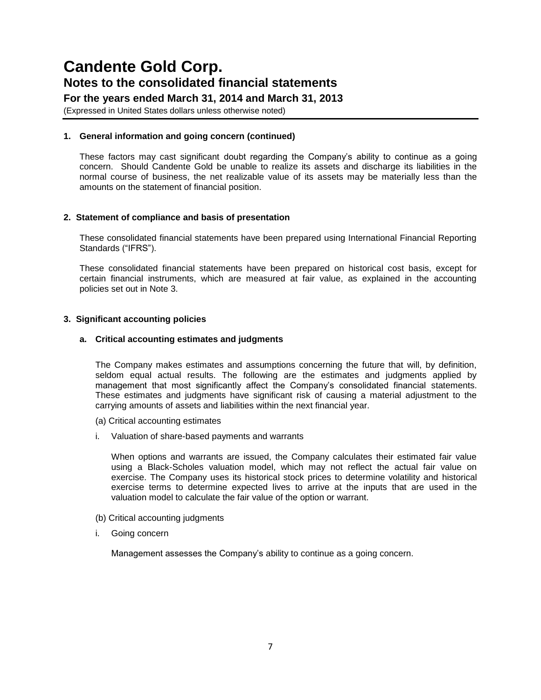#### **For the years ended March 31, 2014 and March 31, 2013**

(Expressed in United States dollars unless otherwise noted)

#### **1. General information and going concern (continued)**

These factors may cast significant doubt regarding the Company's ability to continue as a going concern. Should Candente Gold be unable to realize its assets and discharge its liabilities in the normal course of business, the net realizable value of its assets may be materially less than the amounts on the statement of financial position.

#### **2. Statement of compliance and basis of presentation**

These consolidated financial statements have been prepared using International Financial Reporting Standards ("IFRS").

These consolidated financial statements have been prepared on historical cost basis, except for certain financial instruments, which are measured at fair value, as explained in the accounting policies set out in Note 3.

#### **3. Significant accounting policies**

#### **a. Critical accounting estimates and judgments**

The Company makes estimates and assumptions concerning the future that will, by definition, seldom equal actual results. The following are the estimates and judgments applied by management that most significantly affect the Company's consolidated financial statements. These estimates and judgments have significant risk of causing a material adjustment to the carrying amounts of assets and liabilities within the next financial year.

(a) Critical accounting estimates

i. Valuation of share-based payments and warrants

When options and warrants are issued, the Company calculates their estimated fair value using a Black-Scholes valuation model, which may not reflect the actual fair value on exercise. The Company uses its historical stock prices to determine volatility and historical exercise terms to determine expected lives to arrive at the inputs that are used in the valuation model to calculate the fair value of the option or warrant.

#### (b) Critical accounting judgments

i. Going concern

Management assesses the Company's ability to continue as a going concern.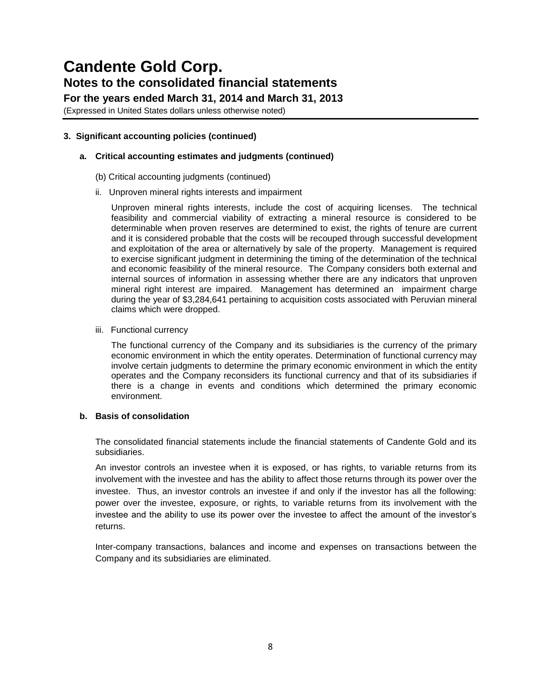**For the years ended March 31, 2014 and March 31, 2013**

(Expressed in United States dollars unless otherwise noted)

#### **3. Significant accounting policies (continued)**

#### **a. Critical accounting estimates and judgments (continued)**

- (b) Critical accounting judgments (continued)
- ii. Unproven mineral rights interests and impairment

Unproven mineral rights interests, include the cost of acquiring licenses. The technical feasibility and commercial viability of extracting a mineral resource is considered to be determinable when proven reserves are determined to exist, the rights of tenure are current and it is considered probable that the costs will be recouped through successful development and exploitation of the area or alternatively by sale of the property. Management is required to exercise significant judgment in determining the timing of the determination of the technical and economic feasibility of the mineral resource. The Company considers both external and internal sources of information in assessing whether there are any indicators that unproven mineral right interest are impaired. Management has determined an impairment charge during the year of \$3,284,641 pertaining to acquisition costs associated with Peruvian mineral claims which were dropped.

iii. Functional currency

The functional currency of the Company and its subsidiaries is the currency of the primary economic environment in which the entity operates. Determination of functional currency may involve certain judgments to determine the primary economic environment in which the entity operates and the Company reconsiders its functional currency and that of its subsidiaries if there is a change in events and conditions which determined the primary economic environment.

#### **b. Basis of consolidation**

The consolidated financial statements include the financial statements of Candente Gold and its subsidiaries.

An investor controls an investee when it is exposed, or has rights, to variable returns from its involvement with the investee and has the ability to affect those returns through its power over the investee. Thus, an investor controls an investee if and only if the investor has all the following: power over the investee, exposure, or rights, to variable returns from its involvement with the investee and the ability to use its power over the investee to affect the amount of the investor's returns.

Inter-company transactions, balances and income and expenses on transactions between the Company and its subsidiaries are eliminated.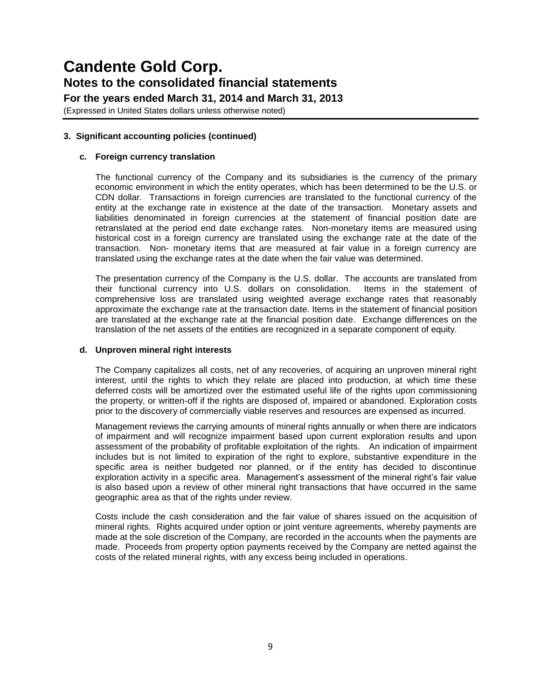**For the years ended March 31, 2014 and March 31, 2013**

(Expressed in United States dollars unless otherwise noted)

#### **3. Significant accounting policies (continued)**

#### **c. Foreign currency translation**

The functional currency of the Company and its subsidiaries is the currency of the primary economic environment in which the entity operates, which has been determined to be the U.S. or CDN dollar. Transactions in foreign currencies are translated to the functional currency of the entity at the exchange rate in existence at the date of the transaction. Monetary assets and liabilities denominated in foreign currencies at the statement of financial position date are retranslated at the period end date exchange rates. Non-monetary items are measured using historical cost in a foreign currency are translated using the exchange rate at the date of the transaction. Non- monetary items that are measured at fair value in a foreign currency are translated using the exchange rates at the date when the fair value was determined.

The presentation currency of the Company is the U.S. dollar. The accounts are translated from their functional currency into U.S. dollars on consolidation. Items in the statement of comprehensive loss are translated using weighted average exchange rates that reasonably approximate the exchange rate at the transaction date. Items in the statement of financial position are translated at the exchange rate at the financial position date. Exchange differences on the translation of the net assets of the entities are recognized in a separate component of equity.

#### **d. Unproven mineral right interests**

The Company capitalizes all costs, net of any recoveries, of acquiring an unproven mineral right interest, until the rights to which they relate are placed into production, at which time these deferred costs will be amortized over the estimated useful life of the rights upon commissioning the property, or written-off if the rights are disposed of, impaired or abandoned. Exploration costs prior to the discovery of commercially viable reserves and resources are expensed as incurred.

Management reviews the carrying amounts of mineral rights annually or when there are indicators of impairment and will recognize impairment based upon current exploration results and upon assessment of the probability of profitable exploitation of the rights. An indication of impairment includes but is not limited to expiration of the right to explore, substantive expenditure in the specific area is neither budgeted nor planned, or if the entity has decided to discontinue exploration activity in a specific area. Management's assessment of the mineral right's fair value is also based upon a review of other mineral right transactions that have occurred in the same geographic area as that of the rights under review.

Costs include the cash consideration and the fair value of shares issued on the acquisition of mineral rights. Rights acquired under option or joint venture agreements, whereby payments are made at the sole discretion of the Company, are recorded in the accounts when the payments are made. Proceeds from property option payments received by the Company are netted against the costs of the related mineral rights, with any excess being included in operations.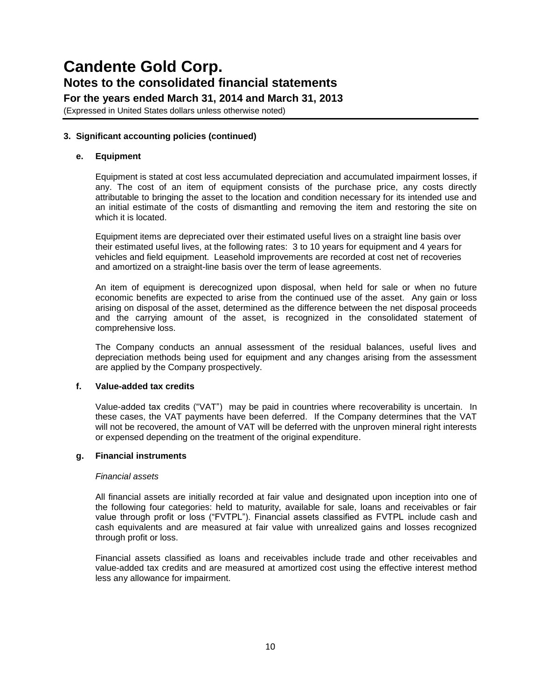**For the years ended March 31, 2014 and March 31, 2013**

(Expressed in United States dollars unless otherwise noted)

#### **3. Significant accounting policies (continued)**

#### **e. Equipment**

Equipment is stated at cost less accumulated depreciation and accumulated impairment losses, if any. The cost of an item of equipment consists of the purchase price, any costs directly attributable to bringing the asset to the location and condition necessary for its intended use and an initial estimate of the costs of dismantling and removing the item and restoring the site on which it is located.

Equipment items are depreciated over their estimated useful lives on a straight line basis over their estimated useful lives, at the following rates: 3 to 10 years for equipment and 4 years for vehicles and field equipment. Leasehold improvements are recorded at cost net of recoveries and amortized on a straight-line basis over the term of lease agreements.

An item of equipment is derecognized upon disposal, when held for sale or when no future economic benefits are expected to arise from the continued use of the asset. Any gain or loss arising on disposal of the asset, determined as the difference between the net disposal proceeds and the carrying amount of the asset, is recognized in the consolidated statement of comprehensive loss.

The Company conducts an annual assessment of the residual balances, useful lives and depreciation methods being used for equipment and any changes arising from the assessment are applied by the Company prospectively.

#### **f. Value-added tax credits**

Value-added tax credits ("VAT") may be paid in countries where recoverability is uncertain. In these cases, the VAT payments have been deferred. If the Company determines that the VAT will not be recovered, the amount of VAT will be deferred with the unproven mineral right interests or expensed depending on the treatment of the original expenditure.

#### **g. Financial instruments**

#### *Financial assets*

All financial assets are initially recorded at fair value and designated upon inception into one of the following four categories: held to maturity, available for sale, loans and receivables or fair value through profit or loss ("FVTPL"). Financial assets classified as FVTPL include cash and cash equivalents and are measured at fair value with unrealized gains and losses recognized through profit or loss.

Financial assets classified as loans and receivables include trade and other receivables and value-added tax credits and are measured at amortized cost using the effective interest method less any allowance for impairment.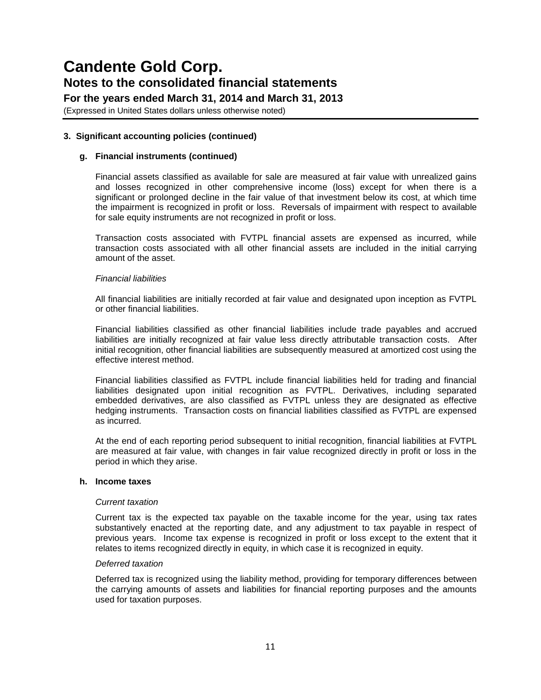**For the years ended March 31, 2014 and March 31, 2013**

(Expressed in United States dollars unless otherwise noted)

#### **3. Significant accounting policies (continued)**

#### **g. Financial instruments (continued)**

Financial assets classified as available for sale are measured at fair value with unrealized gains and losses recognized in other comprehensive income (loss) except for when there is a significant or prolonged decline in the fair value of that investment below its cost, at which time the impairment is recognized in profit or loss. Reversals of impairment with respect to available for sale equity instruments are not recognized in profit or loss.

Transaction costs associated with FVTPL financial assets are expensed as incurred, while transaction costs associated with all other financial assets are included in the initial carrying amount of the asset.

#### *Financial liabilities*

All financial liabilities are initially recorded at fair value and designated upon inception as FVTPL or other financial liabilities.

Financial liabilities classified as other financial liabilities include trade payables and accrued liabilities are initially recognized at fair value less directly attributable transaction costs. After initial recognition, other financial liabilities are subsequently measured at amortized cost using the effective interest method.

Financial liabilities classified as FVTPL include financial liabilities held for trading and financial liabilities designated upon initial recognition as FVTPL. Derivatives, including separated embedded derivatives, are also classified as FVTPL unless they are designated as effective hedging instruments. Transaction costs on financial liabilities classified as FVTPL are expensed as incurred.

At the end of each reporting period subsequent to initial recognition, financial liabilities at FVTPL are measured at fair value, with changes in fair value recognized directly in profit or loss in the period in which they arise.

#### **h. Income taxes**

#### *Current taxation*

Current tax is the expected tax payable on the taxable income for the year, using tax rates substantively enacted at the reporting date, and any adjustment to tax payable in respect of previous years. Income tax expense is recognized in profit or loss except to the extent that it relates to items recognized directly in equity, in which case it is recognized in equity.

#### *Deferred taxation*

Deferred tax is recognized using the liability method, providing for temporary differences between the carrying amounts of assets and liabilities for financial reporting purposes and the amounts used for taxation purposes.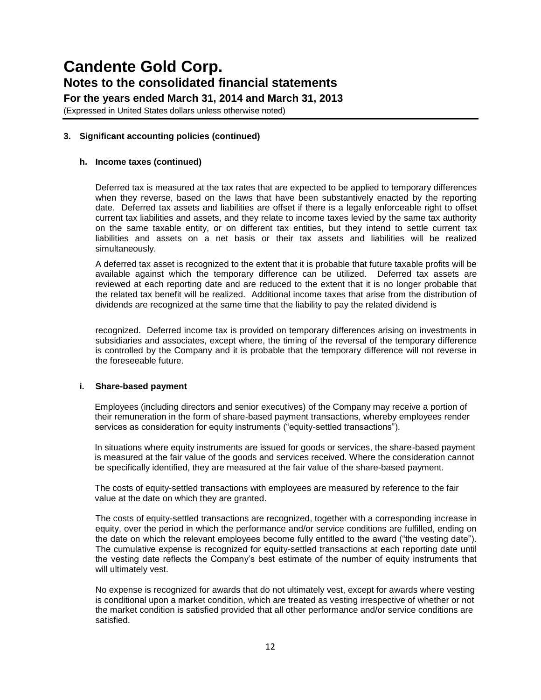**For the years ended March 31, 2014 and March 31, 2013**

(Expressed in United States dollars unless otherwise noted)

#### **3. Significant accounting policies (continued)**

#### **h. Income taxes (continued)**

Deferred tax is measured at the tax rates that are expected to be applied to temporary differences when they reverse, based on the laws that have been substantively enacted by the reporting date. Deferred tax assets and liabilities are offset if there is a legally enforceable right to offset current tax liabilities and assets, and they relate to income taxes levied by the same tax authority on the same taxable entity, or on different tax entities, but they intend to settle current tax liabilities and assets on a net basis or their tax assets and liabilities will be realized simultaneously.

A deferred tax asset is recognized to the extent that it is probable that future taxable profits will be available against which the temporary difference can be utilized. Deferred tax assets are reviewed at each reporting date and are reduced to the extent that it is no longer probable that the related tax benefit will be realized. Additional income taxes that arise from the distribution of dividends are recognized at the same time that the liability to pay the related dividend is

recognized. Deferred income tax is provided on temporary differences arising on investments in subsidiaries and associates, except where, the timing of the reversal of the temporary difference is controlled by the Company and it is probable that the temporary difference will not reverse in the foreseeable future.

#### **i. Share-based payment**

Employees (including directors and senior executives) of the Company may receive a portion of their remuneration in the form of share-based payment transactions, whereby employees render services as consideration for equity instruments ("equity-settled transactions").

In situations where equity instruments are issued for goods or services, the share-based payment is measured at the fair value of the goods and services received. Where the consideration cannot be specifically identified, they are measured at the fair value of the share-based payment.

The costs of equity-settled transactions with employees are measured by reference to the fair value at the date on which they are granted.

The costs of equity-settled transactions are recognized, together with a corresponding increase in equity, over the period in which the performance and/or service conditions are fulfilled, ending on the date on which the relevant employees become fully entitled to the award ("the vesting date"). The cumulative expense is recognized for equity-settled transactions at each reporting date until the vesting date reflects the Company's best estimate of the number of equity instruments that will ultimately vest.

No expense is recognized for awards that do not ultimately vest, except for awards where vesting is conditional upon a market condition, which are treated as vesting irrespective of whether or not the market condition is satisfied provided that all other performance and/or service conditions are satisfied.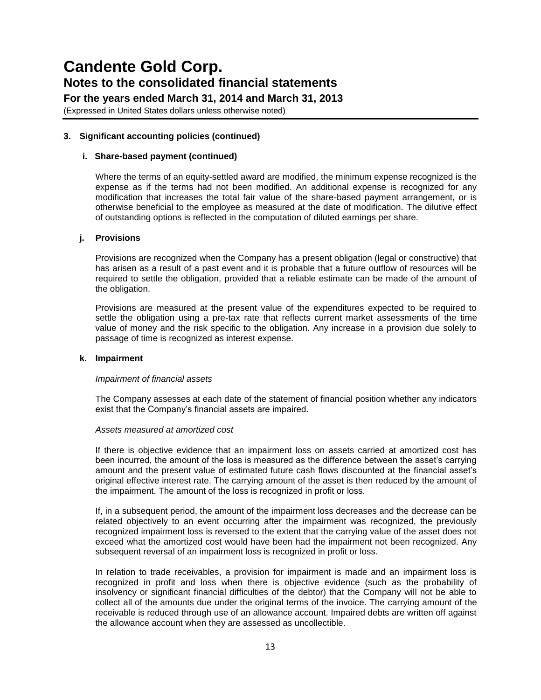**For the years ended March 31, 2014 and March 31, 2013**

(Expressed in United States dollars unless otherwise noted)

#### **3. Significant accounting policies (continued)**

#### **i. Share-based payment (continued)**

Where the terms of an equity-settled award are modified, the minimum expense recognized is the expense as if the terms had not been modified. An additional expense is recognized for any modification that increases the total fair value of the share-based payment arrangement, or is otherwise beneficial to the employee as measured at the date of modification. The dilutive effect of outstanding options is reflected in the computation of diluted earnings per share.

#### **j. Provisions**

Provisions are recognized when the Company has a present obligation (legal or constructive) that has arisen as a result of a past event and it is probable that a future outflow of resources will be required to settle the obligation, provided that a reliable estimate can be made of the amount of the obligation.

Provisions are measured at the present value of the expenditures expected to be required to settle the obligation using a pre-tax rate that reflects current market assessments of the time value of money and the risk specific to the obligation. Any increase in a provision due solely to passage of time is recognized as interest expense.

#### **k. Impairment**

#### *Impairment of financial assets*

The Company assesses at each date of the statement of financial position whether any indicators exist that the Company's financial assets are impaired.

#### *Assets measured at amortized cost*

If there is objective evidence that an impairment loss on assets carried at amortized cost has been incurred, the amount of the loss is measured as the difference between the asset's carrying amount and the present value of estimated future cash flows discounted at the financial asset's original effective interest rate. The carrying amount of the asset is then reduced by the amount of the impairment. The amount of the loss is recognized in profit or loss.

If, in a subsequent period, the amount of the impairment loss decreases and the decrease can be related objectively to an event occurring after the impairment was recognized, the previously recognized impairment loss is reversed to the extent that the carrying value of the asset does not exceed what the amortized cost would have been had the impairment not been recognized. Any subsequent reversal of an impairment loss is recognized in profit or loss.

In relation to trade receivables, a provision for impairment is made and an impairment loss is recognized in profit and loss when there is objective evidence (such as the probability of insolvency or significant financial difficulties of the debtor) that the Company will not be able to collect all of the amounts due under the original terms of the invoice. The carrying amount of the receivable is reduced through use of an allowance account. Impaired debts are written off against the allowance account when they are assessed as uncollectible.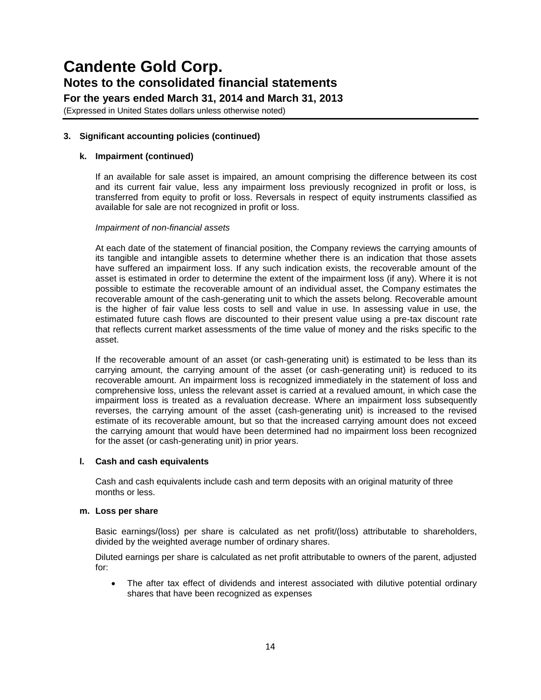**For the years ended March 31, 2014 and March 31, 2013**

(Expressed in United States dollars unless otherwise noted)

#### **3. Significant accounting policies (continued)**

#### **k. Impairment (continued)**

If an available for sale asset is impaired, an amount comprising the difference between its cost and its current fair value, less any impairment loss previously recognized in profit or loss, is transferred from equity to profit or loss. Reversals in respect of equity instruments classified as available for sale are not recognized in profit or loss.

#### *Impairment of non-financial assets*

At each date of the statement of financial position, the Company reviews the carrying amounts of its tangible and intangible assets to determine whether there is an indication that those assets have suffered an impairment loss. If any such indication exists, the recoverable amount of the asset is estimated in order to determine the extent of the impairment loss (if any). Where it is not possible to estimate the recoverable amount of an individual asset, the Company estimates the recoverable amount of the cash-generating unit to which the assets belong. Recoverable amount is the higher of fair value less costs to sell and value in use. In assessing value in use, the estimated future cash flows are discounted to their present value using a pre-tax discount rate that reflects current market assessments of the time value of money and the risks specific to the asset.

If the recoverable amount of an asset (or cash-generating unit) is estimated to be less than its carrying amount, the carrying amount of the asset (or cash-generating unit) is reduced to its recoverable amount. An impairment loss is recognized immediately in the statement of loss and comprehensive loss, unless the relevant asset is carried at a revalued amount, in which case the impairment loss is treated as a revaluation decrease. Where an impairment loss subsequently reverses, the carrying amount of the asset (cash-generating unit) is increased to the revised estimate of its recoverable amount, but so that the increased carrying amount does not exceed the carrying amount that would have been determined had no impairment loss been recognized for the asset (or cash-generating unit) in prior years.

#### **l. Cash and cash equivalents**

Cash and cash equivalents include cash and term deposits with an original maturity of three months or less.

#### **m. Loss per share**

Basic earnings/(loss) per share is calculated as net profit/(loss) attributable to shareholders, divided by the weighted average number of ordinary shares.

Diluted earnings per share is calculated as net profit attributable to owners of the parent, adjusted for:

 The after tax effect of dividends and interest associated with dilutive potential ordinary shares that have been recognized as expenses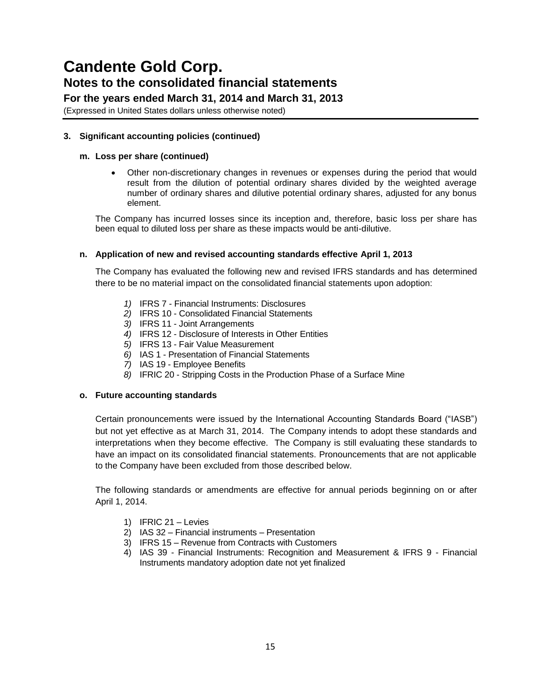#### **For the years ended March 31, 2014 and March 31, 2013**

(Expressed in United States dollars unless otherwise noted)

#### **3. Significant accounting policies (continued)**

#### **m. Loss per share (continued)**

 Other non-discretionary changes in revenues or expenses during the period that would result from the dilution of potential ordinary shares divided by the weighted average number of ordinary shares and dilutive potential ordinary shares, adjusted for any bonus element.

The Company has incurred losses since its inception and, therefore, basic loss per share has been equal to diluted loss per share as these impacts would be anti-dilutive.

#### **n. Application of new and revised accounting standards effective April 1, 2013**

The Company has evaluated the following new and revised IFRS standards and has determined there to be no material impact on the consolidated financial statements upon adoption:

- *1)* IFRS 7 Financial Instruments: Disclosures
- *2)* IFRS 10 Consolidated Financial Statements
- *3)* IFRS 11 Joint Arrangements
- *4)* IFRS 12 Disclosure of Interests in Other Entities
- *5)* IFRS 13 Fair Value Measurement
- *6)* IAS 1 Presentation of Financial Statements
- *7)* IAS 19 Employee Benefits
- *8)* IFRIC 20 Stripping Costs in the Production Phase of a Surface Mine

#### **o. Future accounting standards**

Certain pronouncements were issued by the International Accounting Standards Board ("IASB") but not yet effective as at March 31, 2014. The Company intends to adopt these standards and interpretations when they become effective. The Company is still evaluating these standards to have an impact on its consolidated financial statements. Pronouncements that are not applicable to the Company have been excluded from those described below.

The following standards or amendments are effective for annual periods beginning on or after April 1, 2014.

- 1) IFRIC 21 Levies
- 2) IAS 32 Financial instruments Presentation
- 3) IFRS 15 Revenue from Contracts with Customers
- 4) IAS 39 Financial Instruments: Recognition and Measurement & IFRS 9 Financial Instruments mandatory adoption date not yet finalized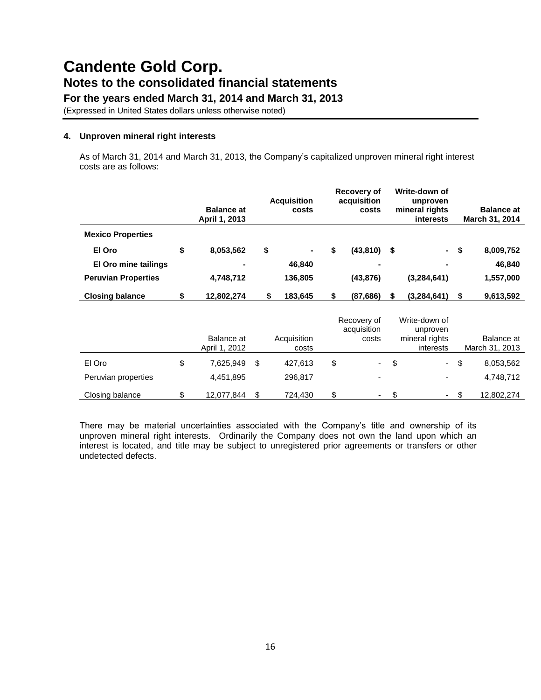(Expressed in United States dollars unless otherwise noted)

#### **4. Unproven mineral right interests**

As of March 31, 2014 and March 31, 2013, the Company's capitalized unproven mineral right interest costs are as follows:

|                            | <b>Balance at</b><br><b>April 1, 2013</b> | <b>Acquisition</b><br>costs | Recovery of<br>acquisition<br>costs |      | Write-down of<br>unproven<br>mineral rights<br>interests | <b>Balance at</b><br>March 31, 2014 |
|----------------------------|-------------------------------------------|-----------------------------|-------------------------------------|------|----------------------------------------------------------|-------------------------------------|
| <b>Mexico Properties</b>   |                                           |                             |                                     |      |                                                          |                                     |
| El Oro                     | \$<br>8,053,562                           | \$<br>٠.                    | \$<br>(43, 810)                     | - \$ | $\sim 100$                                               | \$<br>8,009,752                     |
| El Oro mine tailings       | $\blacksquare$                            | 46.840                      | $\sim$                              |      |                                                          | 46,840                              |
| <b>Peruvian Properties</b> | 4,748,712                                 | 136,805                     | (43, 876)                           |      | (3,284,641)                                              | 1,557,000                           |
| <b>Closing balance</b>     | 12,802,274                                | 183,645                     | (87,686)                            |      | (3,284,641)                                              | \$<br>9,613,592                     |

|                     | Balance at<br>April 1, 2012 |    | Acquisition<br>costs | Recovery of<br>acquisition<br>costs | Write-down of<br>unproven<br>mineral rights<br>interests |    | Balance at<br>March 31, 2013 |
|---------------------|-----------------------------|----|----------------------|-------------------------------------|----------------------------------------------------------|----|------------------------------|
| El Oro              | 7,625,949                   | \$ | 427.613              | \$<br>٠                             | \$<br>$\sim$ $-$                                         | -S | 8,053,562                    |
| Peruvian properties | 4,451,895                   |    | 296.817              | ٠                                   | $\overline{\phantom{0}}$                                 |    | 4,748,712                    |
| Closing balance     | 12,077,844                  | S  | 724.430              | \$<br>٠                             | \$<br>$\sim$                                             |    | 12,802,274                   |

There may be material uncertainties associated with the Company's title and ownership of its unproven mineral right interests. Ordinarily the Company does not own the land upon which an interest is located, and title may be subject to unregistered prior agreements or transfers or other undetected defects.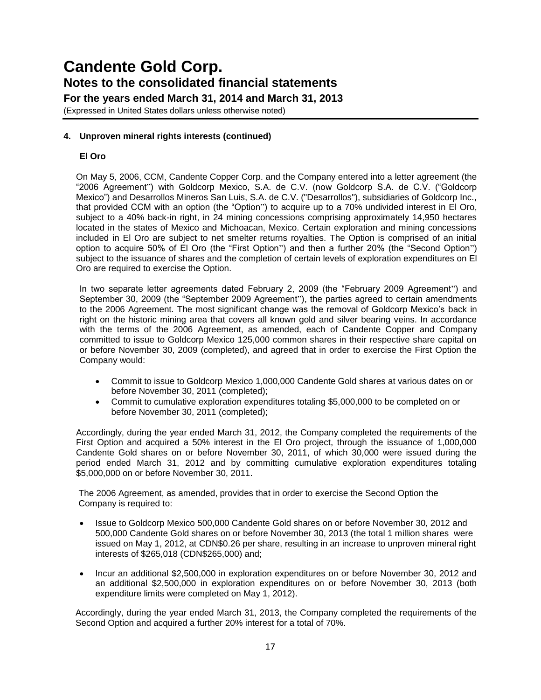(Expressed in United States dollars unless otherwise noted)

#### **4. Unproven mineral rights interests (continued)**

#### **El Oro**

On May 5, 2006, CCM, Candente Copper Corp. and the Company entered into a letter agreement (the "2006 Agreement") with Goldcorp Mexico, S.A. de C.V. (now Goldcorp S.A. de C.V. ("Goldcorp Mexico") and Desarrollos Mineros San Luis, S.A. de C.V. ("Desarrollos"), subsidiaries of Goldcorp Inc., that provided CCM with an option (the "Option") to acquire up to a 70% undivided interest in El Oro, subject to a 40% back-in right, in 24 mining concessions comprising approximately 14,950 hectares located in the states of Mexico and Michoacan, Mexico. Certain exploration and mining concessions included in El Oro are subject to net smelter returns royalties. The Option is comprised of an initial option to acquire 50% of El Oro (the "First Option") and then a further 20% (the "Second Option") subject to the issuance of shares and the completion of certain levels of exploration expenditures on El Oro are required to exercise the Option.

In two separate letter agreements dated February 2, 2009 (the "February 2009 Agreement") and September 30, 2009 (the "September 2009 Agreement"), the parties agreed to certain amendments to the 2006 Agreement. The most significant change was the removal of Goldcorp Mexico's back in right on the historic mining area that covers all known gold and silver bearing veins. In accordance with the terms of the 2006 Agreement, as amended, each of Candente Copper and Company committed to issue to Goldcorp Mexico 125,000 common shares in their respective share capital on or before November 30, 2009 (completed), and agreed that in order to exercise the First Option the Company would:

- Commit to issue to Goldcorp Mexico 1,000,000 Candente Gold shares at various dates on or before November 30, 2011 (completed);
- Commit to cumulative exploration expenditures totaling \$5,000,000 to be completed on or before November 30, 2011 (completed);

Accordingly, during the year ended March 31, 2012, the Company completed the requirements of the First Option and acquired a 50% interest in the El Oro project, through the issuance of 1,000,000 Candente Gold shares on or before November 30, 2011, of which 30,000 were issued during the period ended March 31, 2012 and by committing cumulative exploration expenditures totaling \$5,000,000 on or before November 30, 2011.

The 2006 Agreement, as amended, provides that in order to exercise the Second Option the Company is required to:

- Issue to Goldcorp Mexico 500,000 Candente Gold shares on or before November 30, 2012 and 500,000 Candente Gold shares on or before November 30, 2013 (the total 1 million shares were issued on May 1, 2012, at CDN\$0.26 per share, resulting in an increase to unproven mineral right interests of \$265,018 (CDN\$265,000) and;
- Incur an additional \$2,500,000 in exploration expenditures on or before November 30, 2012 and an additional \$2,500,000 in exploration expenditures on or before November 30, 2013 (both expenditure limits were completed on May 1, 2012).

Accordingly, during the year ended March 31, 2013, the Company completed the requirements of the Second Option and acquired a further 20% interest for a total of 70%.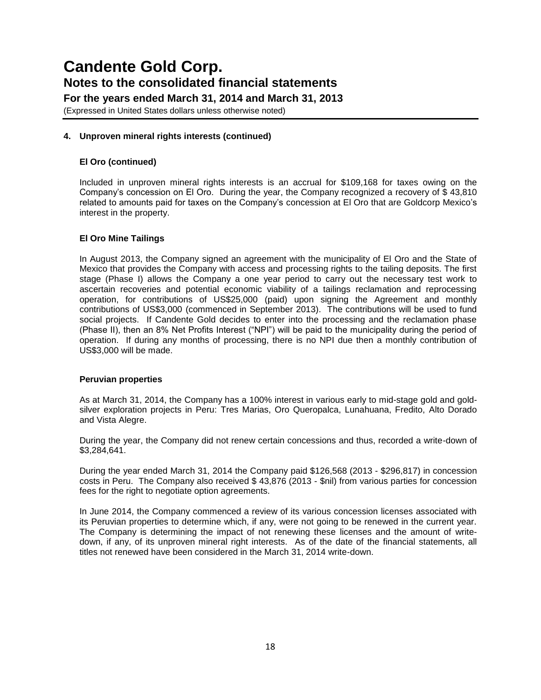(Expressed in United States dollars unless otherwise noted)

#### **4. Unproven mineral rights interests (continued)**

#### **El Oro (continued)**

Included in unproven mineral rights interests is an accrual for \$109,168 for taxes owing on the Company's concession on El Oro. During the year, the Company recognized a recovery of \$ 43,810 related to amounts paid for taxes on the Company's concession at El Oro that are Goldcorp Mexico's interest in the property.

#### **El Oro Mine Tailings**

In August 2013, the Company signed an agreement with the municipality of El Oro and the State of Mexico that provides the Company with access and processing rights to the tailing deposits. The first stage (Phase I) allows the Company a one year period to carry out the necessary test work to ascertain recoveries and potential economic viability of a tailings reclamation and reprocessing operation, for contributions of US\$25,000 (paid) upon signing the Agreement and monthly contributions of US\$3,000 (commenced in September 2013). The contributions will be used to fund social projects. If Candente Gold decides to enter into the processing and the reclamation phase (Phase II), then an 8% Net Profits Interest ("NPI") will be paid to the municipality during the period of operation. If during any months of processing, there is no NPI due then a monthly contribution of US\$3,000 will be made.

#### **Peruvian properties**

As at March 31, 2014, the Company has a 100% interest in various early to mid-stage gold and goldsilver exploration projects in Peru: Tres Marias, Oro Queropalca, Lunahuana, Fredito, Alto Dorado and Vista Alegre.

During the year, the Company did not renew certain concessions and thus, recorded a write-down of \$3,284,641.

During the year ended March 31, 2014 the Company paid \$126,568 (2013 - \$296,817) in concession costs in Peru. The Company also received \$ 43,876 (2013 - \$nil) from various parties for concession fees for the right to negotiate option agreements.

In June 2014, the Company commenced a review of its various concession licenses associated with its Peruvian properties to determine which, if any, were not going to be renewed in the current year. The Company is determining the impact of not renewing these licenses and the amount of writedown, if any, of its unproven mineral right interests. As of the date of the financial statements, all titles not renewed have been considered in the March 31, 2014 write-down.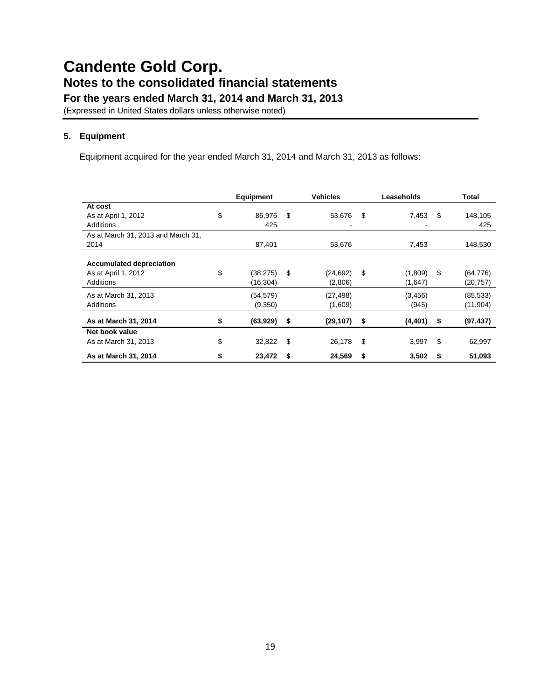(Expressed in United States dollars unless otherwise noted)

#### **5. Equipment**

Equipment acquired for the year ended March 31, 2014 and March 31, 2013 as follows:

|                                    | <b>Equipment</b> | <b>Vehicles</b> | Leaseholds     | Total           |
|------------------------------------|------------------|-----------------|----------------|-----------------|
| At cost                            |                  |                 |                |                 |
| As at April 1, 2012                | \$<br>86,976     | \$<br>53,676    | \$<br>7,453    | \$<br>148,105   |
| Additions                          | 425              |                 |                | 425             |
| As at March 31, 2013 and March 31, |                  |                 |                |                 |
| 2014                               | 87,401           | 53,676          | 7,453          | 148,530         |
|                                    |                  |                 |                |                 |
| <b>Accumulated depreciation</b>    |                  |                 |                |                 |
| As at April 1, 2012                | \$<br>(38, 275)  | \$<br>(24, 692) | \$<br>(1,809)  | \$<br>(64, 776) |
| Additions                          | (16, 304)        | (2,806)         | (1,647)        | (20, 757)       |
| As at March 31, 2013               | (54, 579)        | (27, 498)       | (3, 456)       | (85, 533)       |
| Additions                          | (9,350)          | (1,609)         | (945)          | (11, 904)       |
|                                    |                  |                 |                |                 |
| As at March 31, 2014               | \$<br>(63, 929)  | \$<br>(29, 107) | \$<br>(4, 401) | \$<br>(97, 437) |
| Net book value                     |                  |                 |                |                 |
| As at March 31, 2013               | \$<br>32,822     | \$<br>26,178    | \$<br>3,997    | \$<br>62,997    |
| As at March 31, 2014               | \$<br>23,472     | \$<br>24,569    | \$<br>3,502    | \$<br>51,093    |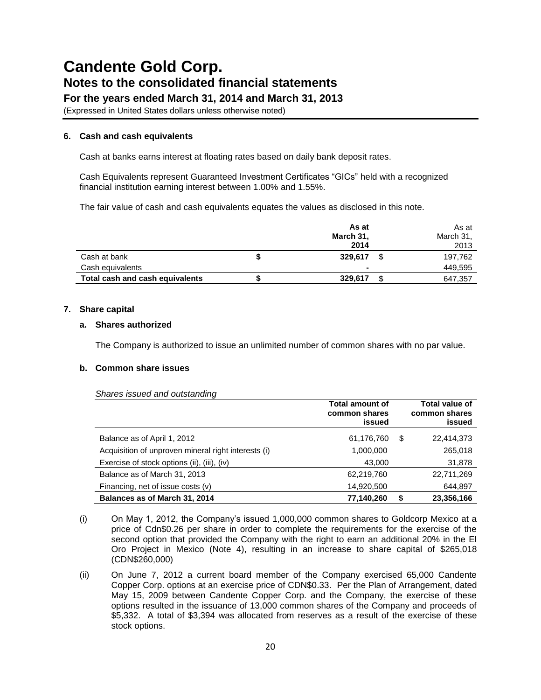**For the years ended March 31, 2014 and March 31, 2013**

(Expressed in United States dollars unless otherwise noted)

#### **6. Cash and cash equivalents**

Cash at banks earns interest at floating rates based on daily bank deposit rates.

Cash Equivalents represent Guaranteed Investment Certificates "GICs" held with a recognized financial institution earning interest between 1.00% and 1.55%.

The fair value of cash and cash equivalents equates the values as disclosed in this note.

|                                 |   | As at     |     | As at     |
|---------------------------------|---|-----------|-----|-----------|
|                                 |   | March 31, |     | March 31, |
|                                 |   | 2014      |     | 2013      |
| Cash at bank                    | æ | 329,617   | \$. | 197.762   |
| Cash equivalents                |   |           |     | 449,595   |
| Total cash and cash equivalents |   | 329,617   |     | 647,357   |

#### **7. Share capital**

#### **a. Shares authorized**

The Company is authorized to issue an unlimited number of common shares with no par value.

#### **b. Common share issues**

#### *Shares issued and outstanding*

|                                                     | <b>Total amount of</b><br>common shares<br>issued |    | Total value of<br>common shares<br>issued |
|-----------------------------------------------------|---------------------------------------------------|----|-------------------------------------------|
| Balance as of April 1, 2012                         | 61,176,760                                        | \$ | 22,414,373                                |
| Acquisition of unproven mineral right interests (i) | 1,000,000                                         |    | 265,018                                   |
| Exercise of stock options (ii), (iii), (iv)         | 43,000                                            |    | 31,878                                    |
| Balance as of March 31, 2013                        | 62,219,760                                        |    | 22,711,269                                |
| Financing, net of issue costs $(v)$                 | 14,920,500                                        |    | 644,897                                   |
| Balances as of March 31, 2014                       | 77,140,260                                        | S  | 23,356,166                                |

- (i) On May 1, 2012, the Company's issued 1,000,000 common shares to Goldcorp Mexico at a price of Cdn\$0.26 per share in order to complete the requirements for the exercise of the second option that provided the Company with the right to earn an additional 20% in the El Oro Project in Mexico (Note 4), resulting in an increase to share capital of \$265,018 (CDN\$260,000)
- (ii) On June 7, 2012 a current board member of the Company exercised 65,000 Candente Copper Corp. options at an exercise price of CDN\$0.33. Per the Plan of Arrangement, dated May 15, 2009 between Candente Copper Corp. and the Company, the exercise of these options resulted in the issuance of 13,000 common shares of the Company and proceeds of \$5,332. A total of \$3,394 was allocated from reserves as a result of the exercise of these stock options.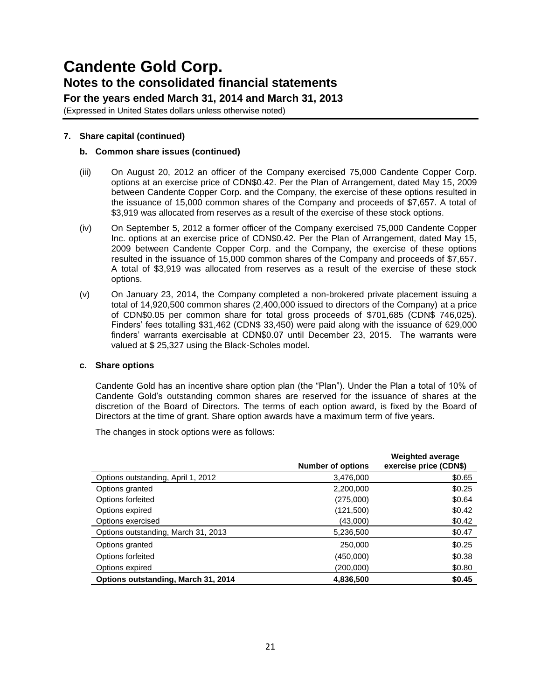**For the years ended March 31, 2014 and March 31, 2013**

(Expressed in United States dollars unless otherwise noted)

#### **7. Share capital (continued)**

#### **b. Common share issues (continued)**

- (iii) On August 20, 2012 an officer of the Company exercised 75,000 Candente Copper Corp. options at an exercise price of CDN\$0.42. Per the Plan of Arrangement, dated May 15, 2009 between Candente Copper Corp. and the Company, the exercise of these options resulted in the issuance of 15,000 common shares of the Company and proceeds of \$7,657. A total of \$3,919 was allocated from reserves as a result of the exercise of these stock options.
- (iv) On September 5, 2012 a former officer of the Company exercised 75,000 Candente Copper Inc. options at an exercise price of CDN\$0.42. Per the Plan of Arrangement, dated May 15, 2009 between Candente Copper Corp. and the Company, the exercise of these options resulted in the issuance of 15,000 common shares of the Company and proceeds of \$7,657. A total of \$3,919 was allocated from reserves as a result of the exercise of these stock options.
- (v) On January 23, 2014, the Company completed a non-brokered private placement issuing a total of 14,920,500 common shares (2,400,000 issued to directors of the Company) at a price of CDN\$0.05 per common share for total gross proceeds of \$701,685 (CDN\$ 746,025). Finders' fees totalling \$31,462 (CDN\$ 33,450) were paid along with the issuance of 629,000 finders' warrants exercisable at CDN\$0.07 until December 23, 2015. The warrants were valued at \$ 25,327 using the Black-Scholes model.

#### **c. Share options**

Candente Gold has an incentive share option plan (the "Plan"). Under the Plan a total of 10% of Candente Gold's outstanding common shares are reserved for the issuance of shares at the discretion of the Board of Directors. The terms of each option award, is fixed by the Board of Directors at the time of grant. Share option awards have a maximum term of five years.

The changes in stock options were as follows:

|                                     | <b>Number of options</b> | <b>Weighted average</b><br>exercise price (CDN\$) |
|-------------------------------------|--------------------------|---------------------------------------------------|
| Options outstanding, April 1, 2012  | 3,476,000                | \$0.65                                            |
| Options granted                     | 2,200,000                | \$0.25                                            |
| Options forfeited                   | (275,000)                | \$0.64                                            |
| Options expired                     | (121,500)                | \$0.42                                            |
| Options exercised                   | (43,000)                 | \$0.42                                            |
| Options outstanding, March 31, 2013 | 5,236,500                | \$0.47                                            |
| Options granted                     | 250,000                  | \$0.25                                            |
| Options forfeited                   | (450,000)                | \$0.38                                            |
| Options expired                     | (200,000)                | \$0.80                                            |
| Options outstanding, March 31, 2014 | 4.836.500                | \$0.45                                            |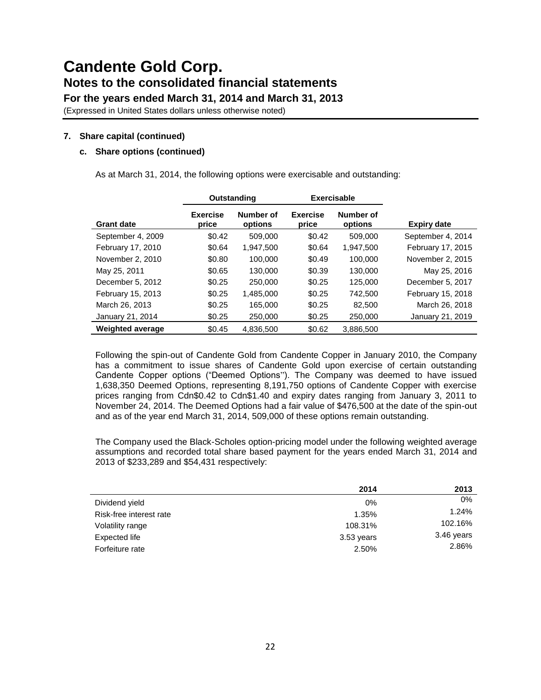(Expressed in United States dollars unless otherwise noted)

#### **7. Share capital (continued)**

#### **c. Share options (continued)**

As at March 31, 2014, the following options were exercisable and outstanding:

|                         | Outstanding              |                      | Exercisable              |                      |                    |
|-------------------------|--------------------------|----------------------|--------------------------|----------------------|--------------------|
| <b>Grant date</b>       | <b>Exercise</b><br>price | Number of<br>options | <b>Exercise</b><br>price | Number of<br>options | <b>Expiry date</b> |
| September 4, 2009       | \$0.42                   | 509,000              | \$0.42                   | 509,000              | September 4, 2014  |
| February 17, 2010       | \$0.64                   | 1,947,500            | \$0.64                   | 1,947,500            | February 17, 2015  |
| November 2, 2010        | \$0.80                   | 100,000              | \$0.49                   | 100,000              | November 2, 2015   |
| May 25, 2011            | \$0.65                   | 130,000              | \$0.39                   | 130,000              | May 25, 2016       |
| December 5, 2012        | \$0.25                   | 250,000              | \$0.25                   | 125,000              | December 5, 2017   |
| February 15, 2013       | \$0.25                   | 1,485,000            | \$0.25                   | 742.500              | February 15, 2018  |
| March 26, 2013          | \$0.25                   | 165.000              | \$0.25                   | 82,500               | March 26, 2018     |
| January 21, 2014        | \$0.25                   | 250,000              | \$0.25                   | 250,000              | January 21, 2019   |
| <b>Weighted average</b> | \$0.45                   | 4.836.500            | \$0.62                   | 3,886,500            |                    |

Following the spin-out of Candente Gold from Candente Copper in January 2010, the Company has a commitment to issue shares of Candente Gold upon exercise of certain outstanding Candente Copper options ("Deemed Options"). The Company was deemed to have issued 1,638,350 Deemed Options, representing 8,191,750 options of Candente Copper with exercise prices ranging from Cdn\$0.42 to Cdn\$1.40 and expiry dates ranging from January 3, 2011 to November 24, 2014. The Deemed Options had a fair value of \$476,500 at the date of the spin-out and as of the year end March 31, 2014, 509,000 of these options remain outstanding.

The Company used the Black-Scholes option-pricing model under the following weighted average assumptions and recorded total share based payment for the years ended March 31, 2014 and 2013 of \$233,289 and \$54,431 respectively:

|                         | 2014       | 2013       |
|-------------------------|------------|------------|
| Dividend yield          | 0%         | 0%         |
| Risk-free interest rate | 1.35%      | 1.24%      |
| Volatility range        | 108.31%    | 102.16%    |
| Expected life           | 3.53 years | 3.46 years |
| Forfeiture rate         | 2.50%      | 2.86%      |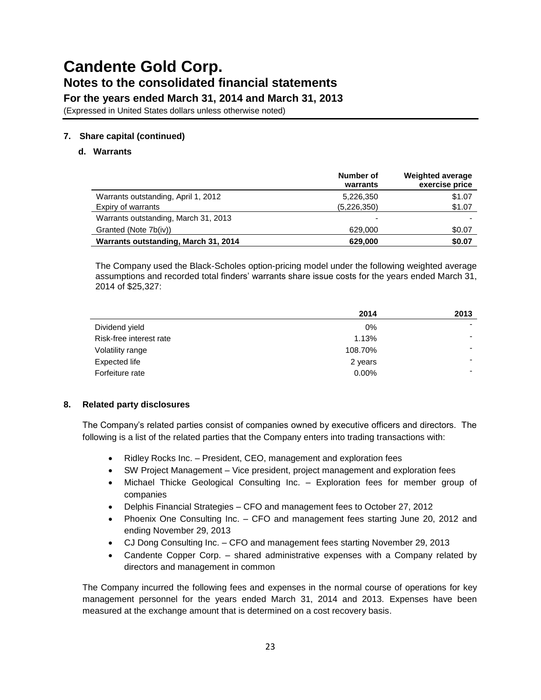**For the years ended March 31, 2014 and March 31, 2013**

(Expressed in United States dollars unless otherwise noted)

#### **7. Share capital (continued)**

#### **d. Warrants**

|                                      | Number of<br>warrants | <b>Weighted average</b><br>exercise price |
|--------------------------------------|-----------------------|-------------------------------------------|
| Warrants outstanding, April 1, 2012  | 5,226,350             | \$1.07                                    |
| Expiry of warrants                   | (5,226,350)           | \$1.07                                    |
| Warrants outstanding, March 31, 2013 |                       |                                           |
| Granted (Note 7b(iv))                | 629,000               | \$0.07                                    |
| Warrants outstanding, March 31, 2014 | 629,000               | \$0.07                                    |

The Company used the Black-Scholes option-pricing model under the following weighted average assumptions and recorded total finders' warrants share issue costs for the years ended March 31, 2014 of \$25,327:

|                         | 2014    | 2013                     |
|-------------------------|---------|--------------------------|
| Dividend yield          | 0%      | $\sim$                   |
| Risk-free interest rate | 1.13%   | $\sim$                   |
| Volatility range        | 108.70% | $\overline{\phantom{a}}$ |
| Expected life           | 2 years | $\overline{\phantom{0}}$ |
| Forfeiture rate         | 0.00%   |                          |

#### **8. Related party disclosures**

The Company's related parties consist of companies owned by executive officers and directors. The following is a list of the related parties that the Company enters into trading transactions with:

- Ridley Rocks Inc. President, CEO, management and exploration fees
- SW Project Management Vice president, project management and exploration fees
- Michael Thicke Geological Consulting Inc. Exploration fees for member group of companies
- Delphis Financial Strategies CFO and management fees to October 27, 2012
- Phoenix One Consulting Inc. CFO and management fees starting June 20, 2012 and ending November 29, 2013
- CJ Dong Consulting Inc. CFO and management fees starting November 29, 2013
- Candente Copper Corp. shared administrative expenses with a Company related by directors and management in common

The Company incurred the following fees and expenses in the normal course of operations for key management personnel for the years ended March 31, 2014 and 2013. Expenses have been measured at the exchange amount that is determined on a cost recovery basis.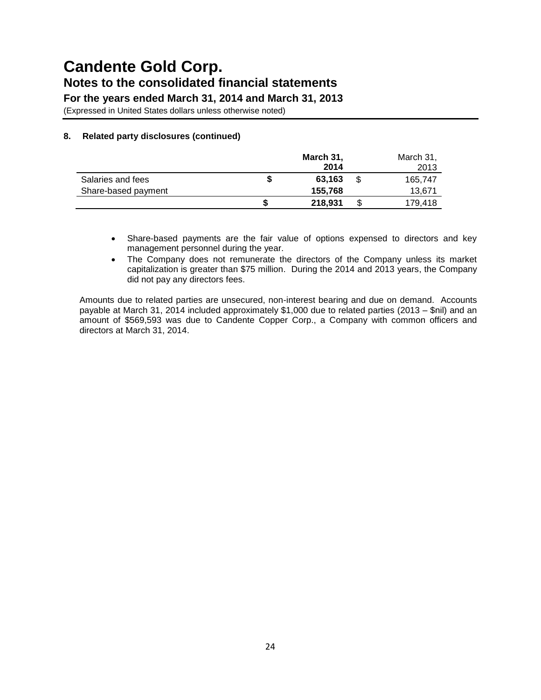**For the years ended March 31, 2014 and March 31, 2013**

(Expressed in United States dollars unless otherwise noted)

#### **8. Related party disclosures (continued)**

|                     |   | March 31, | March 31,     |
|---------------------|---|-----------|---------------|
|                     |   | 2014      | 2013          |
| Salaries and fees   |   | 63.163    | 165.747       |
| Share-based payment |   | 155,768   | 13,671        |
|                     | S | 218.931   | \$<br>179.418 |

- Share-based payments are the fair value of options expensed to directors and key management personnel during the year.
- The Company does not remunerate the directors of the Company unless its market capitalization is greater than \$75 million. During the 2014 and 2013 years, the Company did not pay any directors fees.

Amounts due to related parties are unsecured, non-interest bearing and due on demand. Accounts payable at March 31, 2014 included approximately \$1,000 due to related parties (2013 – \$nil) and an amount of \$569,593 was due to Candente Copper Corp., a Company with common officers and directors at March 31, 2014.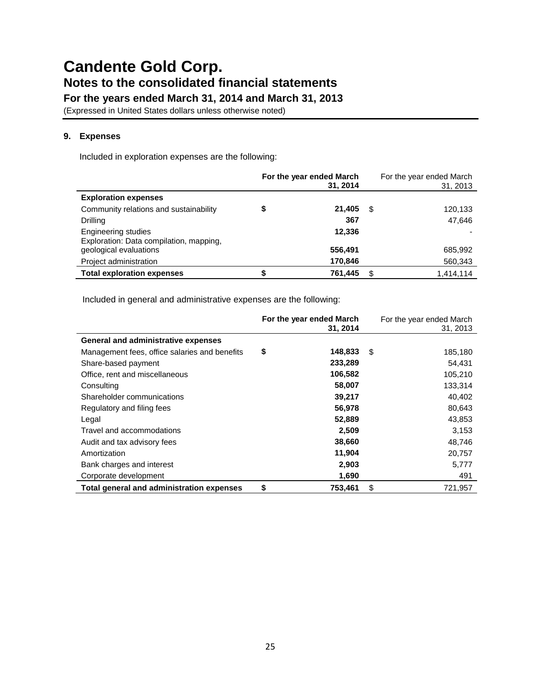(Expressed in United States dollars unless otherwise noted)

#### **9. Expenses**

Included in exploration expenses are the following:

|                                                                | For the year ended March<br>31, 2014 |      | For the year ended March<br>31, 2013 |
|----------------------------------------------------------------|--------------------------------------|------|--------------------------------------|
| <b>Exploration expenses</b>                                    |                                      |      |                                      |
| Community relations and sustainability                         | 21,405                               | - \$ | 120,133                              |
| Drilling                                                       | 367                                  |      | 47,646                               |
| Engineering studies<br>Exploration: Data compilation, mapping, | 12,336                               |      |                                      |
| geological evaluations                                         | 556,491                              |      | 685,992                              |
| Project administration                                         | 170,846                              |      | 560,343                              |
| <b>Total exploration expenses</b>                              | 761,445                              |      | 1,414,114                            |

Included in general and administrative expenses are the following:

|                                               | For the year ended March<br>31, 2014 | For the year ended March<br>31, 2013 |
|-----------------------------------------------|--------------------------------------|--------------------------------------|
| <b>General and administrative expenses</b>    |                                      |                                      |
| Management fees, office salaries and benefits | \$<br>148,833                        | \$<br>185,180                        |
| Share-based payment                           | 233,289                              | 54,431                               |
| Office, rent and miscellaneous                | 106,582                              | 105,210                              |
| Consulting                                    | 58,007                               | 133,314                              |
| Shareholder communications                    | 39,217                               | 40,402                               |
| Regulatory and filing fees                    | 56,978                               | 80,643                               |
| Legal                                         | 52,889                               | 43,853                               |
| Travel and accommodations                     | 2,509                                | 3,153                                |
| Audit and tax advisory fees                   | 38,660                               | 48,746                               |
| Amortization                                  | 11,904                               | 20,757                               |
| Bank charges and interest                     | 2,903                                | 5,777                                |
| Corporate development                         | 1,690                                | 491                                  |
| Total general and administration expenses     | \$<br>753,461                        | \$<br>721,957                        |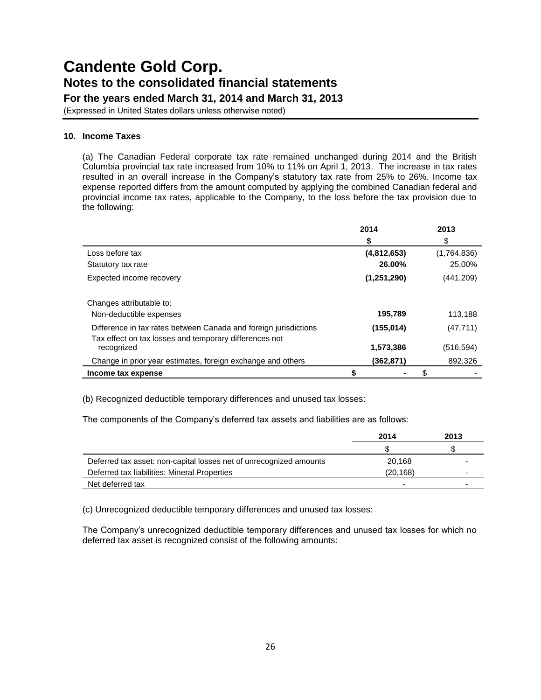**For the years ended March 31, 2014 and March 31, 2013**

(Expressed in United States dollars unless otherwise noted)

#### **10. Income Taxes**

(a) The Canadian Federal corporate tax rate remained unchanged during 2014 and the British Columbia provincial tax rate increased from 10% to 11% on April 1, 2013. The increase in tax rates resulted in an overall increase in the Company's statutory tax rate from 25% to 26%. Income tax expense reported differs from the amount computed by applying the combined Canadian federal and provincial income tax rates, applicable to the Company, to the loss before the tax provision due to the following:

|                                                                                                                            | 2014        | 2013        |
|----------------------------------------------------------------------------------------------------------------------------|-------------|-------------|
|                                                                                                                            | S           | \$          |
| Loss before tax                                                                                                            | (4,812,653) | (1,764,836) |
| Statutory tax rate                                                                                                         | 26.00%      | 25.00%      |
| Expected income recovery                                                                                                   | (1,251,290) | (441,209)   |
| Changes attributable to:                                                                                                   |             |             |
| Non-deductible expenses                                                                                                    | 195,789     | 113,188     |
| Difference in tax rates between Canada and foreign jurisdictions<br>Tax effect on tax losses and temporary differences not | (155, 014)  | (47, 711)   |
| recognized                                                                                                                 | 1,573,386   | (516,594)   |
| Change in prior year estimates, foreign exchange and others                                                                | (362, 871)  | 892,326     |
| Income tax expense                                                                                                         |             |             |

(b) Recognized deductible temporary differences and unused tax losses:

The components of the Company's deferred tax assets and liabilities are as follows:

|                                                                    | 2014      | 2013 |
|--------------------------------------------------------------------|-----------|------|
|                                                                    |           |      |
| Deferred tax asset: non-capital losses net of unrecognized amounts | 20.168    |      |
| Deferred tax liabilities: Mineral Properties                       | (20, 168) |      |
| Net deferred tax                                                   |           |      |

(c) Unrecognized deductible temporary differences and unused tax losses:

The Company's unrecognized deductible temporary differences and unused tax losses for which no deferred tax asset is recognized consist of the following amounts: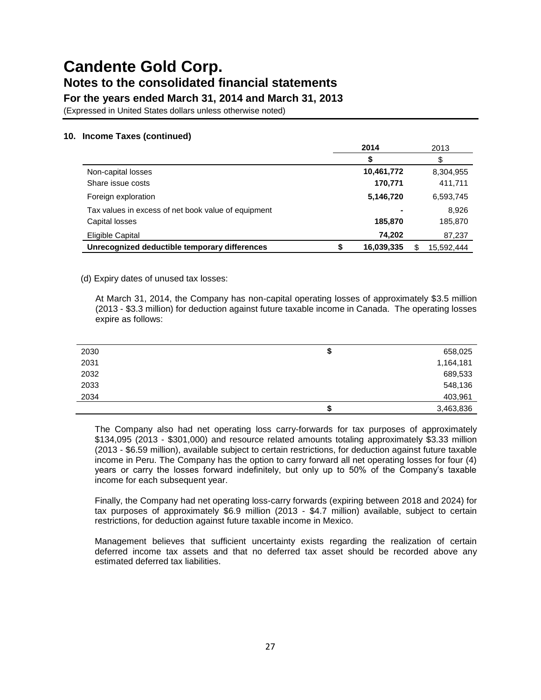**For the years ended March 31, 2014 and March 31, 2013**

(Expressed in United States dollars unless otherwise noted)

#### **10. Income Taxes (continued)**

|                                                     | 2014       | 2013       |
|-----------------------------------------------------|------------|------------|
|                                                     |            |            |
| Non-capital losses                                  | 10,461,772 | 8,304,955  |
| Share issue costs                                   | 170,771    | 411,711    |
| Foreign exploration                                 | 5,146,720  | 6,593,745  |
| Tax values in excess of net book value of equipment |            | 8,926      |
| Capital losses                                      | 185,870    | 185,870    |
| Eligible Capital                                    | 74,202     | 87,237     |
| Unrecognized deductible temporary differences       | 16,039,335 | 15,592,444 |

#### (d) Expiry dates of unused tax losses:

At March 31, 2014, the Company has non-capital operating losses of approximately \$3.5 million (2013 - \$3.3 million) for deduction against future taxable income in Canada. The operating losses expire as follows:

| 2030 | Φ | 658,025   |
|------|---|-----------|
| 2031 |   | 1,164,181 |
| 2032 |   | 689,533   |
| 2033 |   | 548,136   |
| 2034 |   | 403,961   |
|      |   | 3,463,836 |

The Company also had net operating loss carry-forwards for tax purposes of approximately \$134,095 (2013 - \$301,000) and resource related amounts totaling approximately \$3.33 million (2013 - \$6.59 million), available subject to certain restrictions, for deduction against future taxable income in Peru. The Company has the option to carry forward all net operating losses for four (4) years or carry the losses forward indefinitely, but only up to 50% of the Company's taxable income for each subsequent year.

Finally, the Company had net operating loss-carry forwards (expiring between 2018 and 2024) for tax purposes of approximately \$6.9 million (2013 - \$4.7 million) available, subject to certain restrictions, for deduction against future taxable income in Mexico.

Management believes that sufficient uncertainty exists regarding the realization of certain deferred income tax assets and that no deferred tax asset should be recorded above any estimated deferred tax liabilities.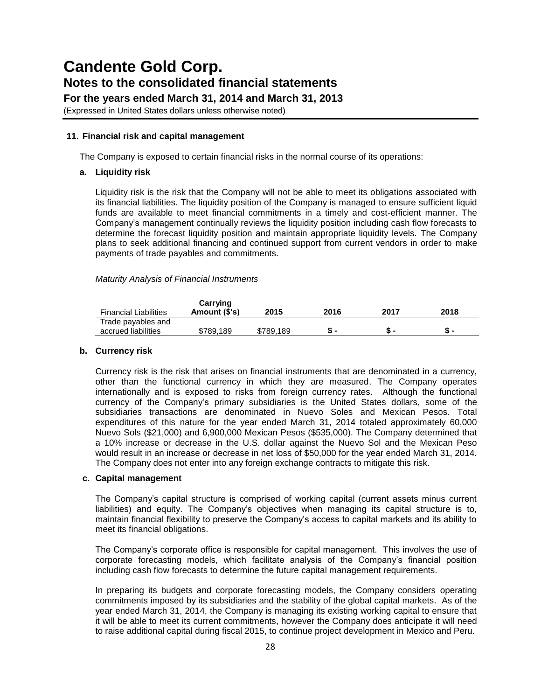#### **For the years ended March 31, 2014 and March 31, 2013**

(Expressed in United States dollars unless otherwise noted)

#### **11. Financial risk and capital management**

The Company is exposed to certain financial risks in the normal course of its operations:

#### **a. Liquidity risk**

Liquidity risk is the risk that the Company will not be able to meet its obligations associated with its financial liabilities. The liquidity position of the Company is managed to ensure sufficient liquid funds are available to meet financial commitments in a timely and cost-efficient manner. The Company's management continually reviews the liquidity position including cash flow forecasts to determine the forecast liquidity position and maintain appropriate liquidity levels. The Company plans to seek additional financing and continued support from current vendors in order to make payments of trade payables and commitments.

#### *Maturity Analysis of Financial Instruments*

| <b>Financial Liabilities</b>              | Carrying<br>Amount (\$'s) | 2015      | 2016 | 2017 | 2018 |
|-------------------------------------------|---------------------------|-----------|------|------|------|
| Trade payables and<br>accrued liabilities | \$789.189                 | \$789.189 |      |      |      |

#### **b. Currency risk**

Currency risk is the risk that arises on financial instruments that are denominated in a currency, other than the functional currency in which they are measured. The Company operates internationally and is exposed to risks from foreign currency rates. Although the functional currency of the Company's primary subsidiaries is the United States dollars, some of the subsidiaries transactions are denominated in Nuevo Soles and Mexican Pesos. Total expenditures of this nature for the year ended March 31, 2014 totaled approximately 60,000 Nuevo Sols (\$21,000) and 6,900,000 Mexican Pesos (\$535,000). The Company determined that a 10% increase or decrease in the U.S. dollar against the Nuevo Sol and the Mexican Peso would result in an increase or decrease in net loss of \$50,000 for the year ended March 31, 2014. The Company does not enter into any foreign exchange contracts to mitigate this risk.

#### **c. Capital management**

The Company's capital structure is comprised of working capital (current assets minus current liabilities) and equity. The Company's objectives when managing its capital structure is to, maintain financial flexibility to preserve the Company's access to capital markets and its ability to meet its financial obligations.

The Company's corporate office is responsible for capital management. This involves the use of corporate forecasting models, which facilitate analysis of the Company's financial position including cash flow forecasts to determine the future capital management requirements.

In preparing its budgets and corporate forecasting models, the Company considers operating commitments imposed by its subsidiaries and the stability of the global capital markets. As of the year ended March 31, 2014, the Company is managing its existing working capital to ensure that it will be able to meet its current commitments, however the Company does anticipate it will need to raise additional capital during fiscal 2015, to continue project development in Mexico and Peru.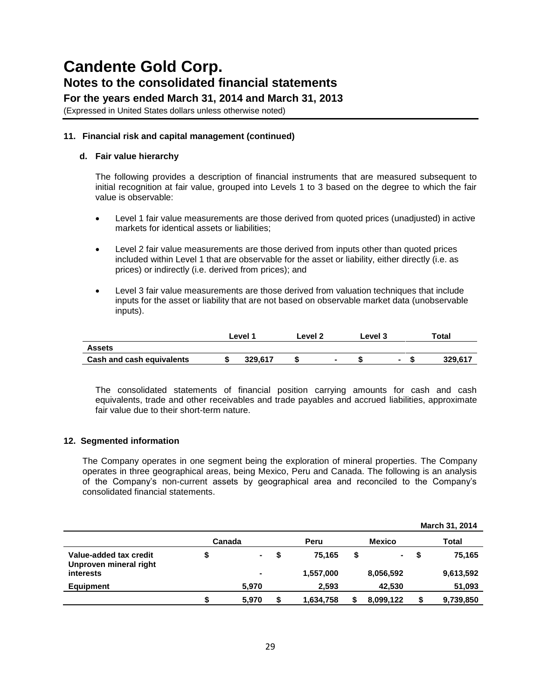**For the years ended March 31, 2014 and March 31, 2013**

(Expressed in United States dollars unless otherwise noted)

#### **11. Financial risk and capital management (continued)**

#### **d. Fair value hierarchy**

The following provides a description of financial instruments that are measured subsequent to initial recognition at fair value, grouped into Levels 1 to 3 based on the degree to which the fair value is observable:

- Level 1 fair value measurements are those derived from quoted prices (unadjusted) in active markets for identical assets or liabilities;
- Level 2 fair value measurements are those derived from inputs other than quoted prices included within Level 1 that are observable for the asset or liability, either directly (i.e. as prices) or indirectly (i.e. derived from prices); and
- Level 3 fair value measurements are those derived from valuation techniques that include inputs for the asset or liability that are not based on observable market data (unobservable inputs).

|                           | Level 1 |         | Level 2 | Level 3 |  | Total |        |
|---------------------------|---------|---------|---------|---------|--|-------|--------|
| <b>Assets</b>             |         |         |         |         |  |       |        |
| Cash and cash equivalents |         | 329.617 |         |         |  |       | 329.61 |

The consolidated statements of financial position carrying amounts for cash and cash equivalents, trade and other receivables and trade payables and accrued liabilities, approximate fair value due to their short-term nature.

#### **12. Segmented information**

The Company operates in one segment being the exploration of mineral properties. The Company operates in three geographical areas, being Mexico, Peru and Canada. The following is an analysis of the Company's non-current assets by geographical area and reconciled to the Company's consolidated financial statements.

|                                                  |        |       |    |           |               |            | March 31, 2014 |           |
|--------------------------------------------------|--------|-------|----|-----------|---------------|------------|----------------|-----------|
|                                                  | Canada |       |    | Peru      | <b>Mexico</b> |            | Total          |           |
| Value-added tax credit<br>Unproven mineral right |        | ۰.    | S  | 75.165    | \$            | $\sim 100$ | -S             | 75,165    |
| <i>interests</i>                                 |        | ۰     |    | 1,557,000 |               | 8,056,592  |                | 9,613,592 |
| <b>Equipment</b>                                 |        | 5.970 |    | 2,593     |               | 42,530     |                | 51,093    |
|                                                  |        | 5.970 | \$ | 1,634,758 |               | 8,099,122  | S              | 9,739,850 |